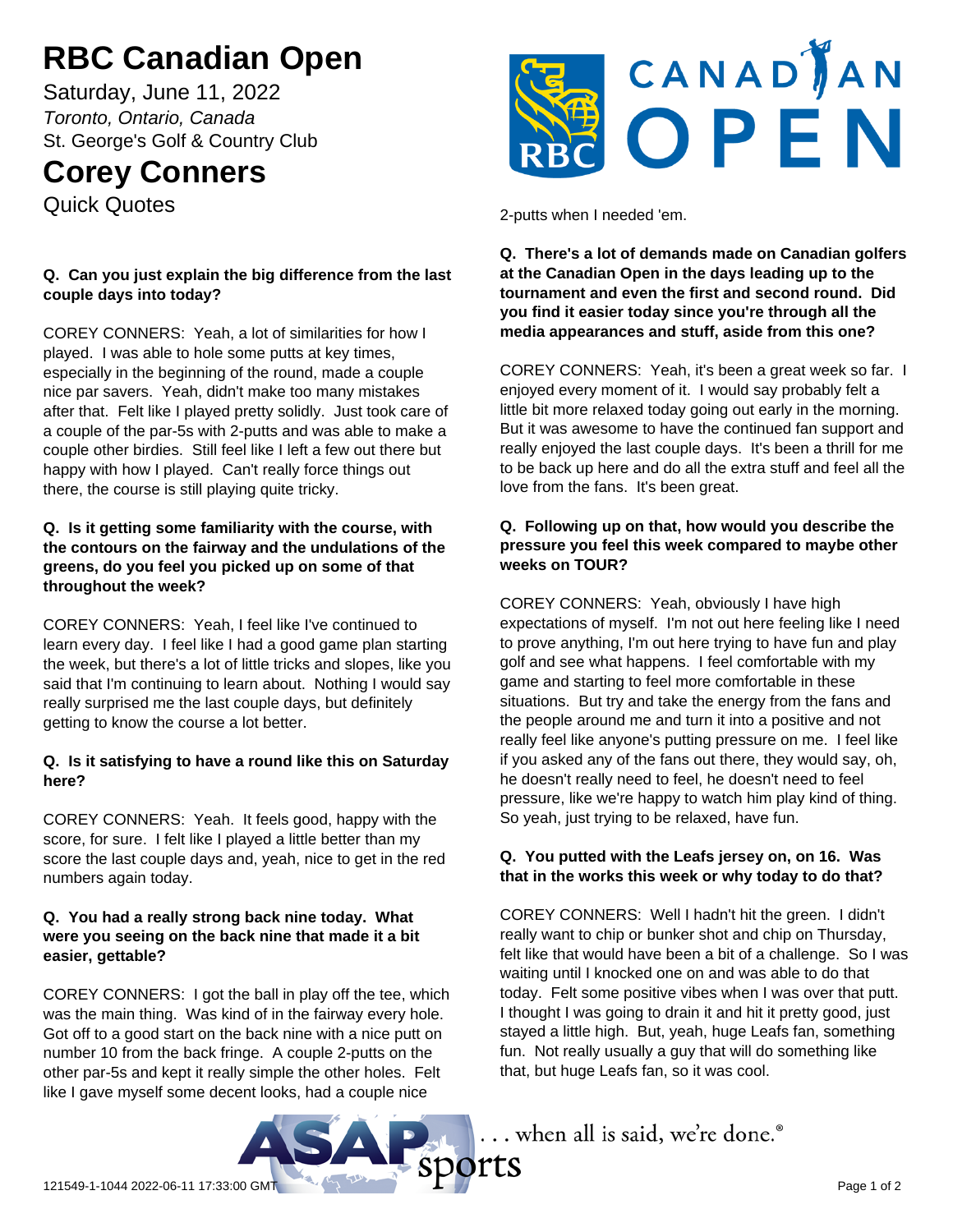# **RBC Canadian Open**

Saturday, June 11, 2022 *Toronto, Ontario, Canada* St. George's Golf & Country Club

# **Corey Conners**

Quick Quotes

# **Q. Can you just explain the big difference from the last couple days into today?**

COREY CONNERS: Yeah, a lot of similarities for how I played. I was able to hole some putts at key times, especially in the beginning of the round, made a couple nice par savers. Yeah, didn't make too many mistakes after that. Felt like I played pretty solidly. Just took care of a couple of the par-5s with 2-putts and was able to make a couple other birdies. Still feel like I left a few out there but happy with how I played. Can't really force things out there, the course is still playing quite tricky.

#### **Q. Is it getting some familiarity with the course, with the contours on the fairway and the undulations of the greens, do you feel you picked up on some of that throughout the week?**

COREY CONNERS: Yeah, I feel like I've continued to learn every day. I feel like I had a good game plan starting the week, but there's a lot of little tricks and slopes, like you said that I'm continuing to learn about. Nothing I would say really surprised me the last couple days, but definitely getting to know the course a lot better.

# **Q. Is it satisfying to have a round like this on Saturday here?**

COREY CONNERS: Yeah. It feels good, happy with the score, for sure. I felt like I played a little better than my score the last couple days and, yeah, nice to get in the red numbers again today.

#### **Q. You had a really strong back nine today. What were you seeing on the back nine that made it a bit easier, gettable?**

COREY CONNERS: I got the ball in play off the tee, which was the main thing. Was kind of in the fairway every hole. Got off to a good start on the back nine with a nice putt on number 10 from the back fringe. A couple 2-putts on the other par-5s and kept it really simple the other holes. Felt like I gave myself some decent looks, had a couple nice



2-putts when I needed 'em.

#### **Q. There's a lot of demands made on Canadian golfers at the Canadian Open in the days leading up to the tournament and even the first and second round. Did you find it easier today since you're through all the media appearances and stuff, aside from this one?**

COREY CONNERS: Yeah, it's been a great week so far. I enjoyed every moment of it. I would say probably felt a little bit more relaxed today going out early in the morning. But it was awesome to have the continued fan support and really enjoyed the last couple days. It's been a thrill for me to be back up here and do all the extra stuff and feel all the love from the fans. It's been great.

#### **Q. Following up on that, how would you describe the pressure you feel this week compared to maybe other weeks on TOUR?**

COREY CONNERS: Yeah, obviously I have high expectations of myself. I'm not out here feeling like I need to prove anything, I'm out here trying to have fun and play golf and see what happens. I feel comfortable with my game and starting to feel more comfortable in these situations. But try and take the energy from the fans and the people around me and turn it into a positive and not really feel like anyone's putting pressure on me. I feel like if you asked any of the fans out there, they would say, oh, he doesn't really need to feel, he doesn't need to feel pressure, like we're happy to watch him play kind of thing. So yeah, just trying to be relaxed, have fun.

# **Q. You putted with the Leafs jersey on, on 16. Was that in the works this week or why today to do that?**

COREY CONNERS: Well I hadn't hit the green. I didn't really want to chip or bunker shot and chip on Thursday, felt like that would have been a bit of a challenge. So I was waiting until I knocked one on and was able to do that today. Felt some positive vibes when I was over that putt. I thought I was going to drain it and hit it pretty good, just stayed a little high. But, yeah, huge Leafs fan, something fun. Not really usually a guy that will do something like that, but huge Leafs fan, so it was cool.



... when all is said, we're done.®